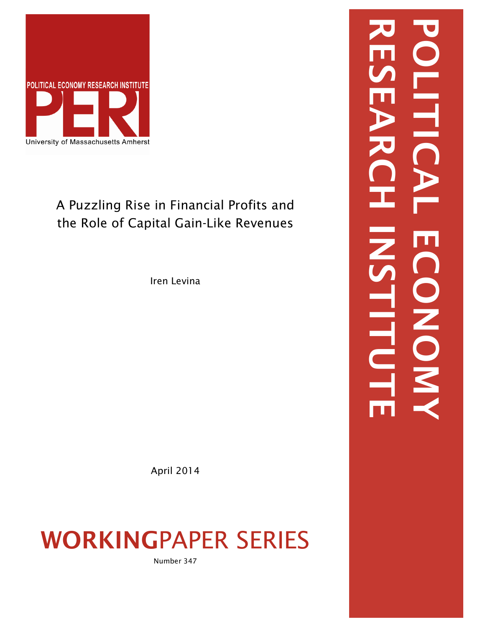

# A Puzzling Rise in Financial Profits and the Role of Capital Gain-Like Revenues

Iren Levina

April 2014

# WORKINGPAPER SERIES

Number 347

RESEARCH INSTITUTE POLITICAL ECONOMY LITI CONON, LILLOL  $\overline{\mathbf{m}}$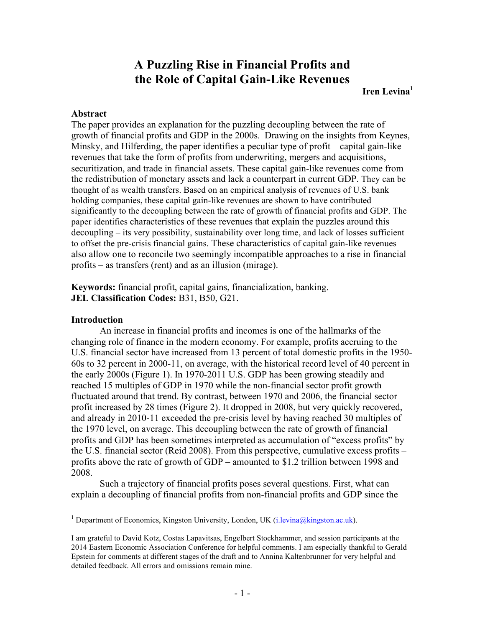# **A Puzzling Rise in Financial Profits and the Role of Capital Gain-Like Revenues**

# **Iren Levina**<sup>1</sup>

# **Abstract**

The paper provides an explanation for the puzzling decoupling between the rate of growth of financial profits and GDP in the 2000s. Drawing on the insights from Keynes, Minsky, and Hilferding, the paper identifies a peculiar type of profit – capital gain-like revenues that take the form of profits from underwriting, mergers and acquisitions, securitization, and trade in financial assets. These capital gain-like revenues come from the redistribution of monetary assets and lack a counterpart in current GDP. They can be thought of as wealth transfers. Based on an empirical analysis of revenues of U.S. bank holding companies, these capital gain-like revenues are shown to have contributed significantly to the decoupling between the rate of growth of financial profits and GDP. The paper identifies characteristics of these revenues that explain the puzzles around this decoupling – its very possibility, sustainability over long time, and lack of losses sufficient to offset the pre-crisis financial gains. These characteristics of capital gain-like revenues also allow one to reconcile two seemingly incompatible approaches to a rise in financial profits – as transfers (rent) and as an illusion (mirage).

**Keywords:** financial profit, capital gains, financialization, banking. **JEL Classification Codes:** B31, B50, G21.

### **Introduction**

An increase in financial profits and incomes is one of the hallmarks of the changing role of finance in the modern economy. For example, profits accruing to the U.S. financial sector have increased from 13 percent of total domestic profits in the 1950- 60s to 32 percent in 2000-11, on average, with the historical record level of 40 percent in the early 2000s (Figure 1). In 1970-2011 U.S. GDP has been growing steadily and reached 15 multiples of GDP in 1970 while the non-financial sector profit growth fluctuated around that trend. By contrast, between 1970 and 2006, the financial sector profit increased by 28 times (Figure 2). It dropped in 2008, but very quickly recovered, and already in 2010-11 exceeded the pre-crisis level by having reached 30 multiples of the 1970 level, on average. This decoupling between the rate of growth of financial profits and GDP has been sometimes interpreted as accumulation of "excess profits" by the U.S. financial sector (Reid 2008). From this perspective, cumulative excess profits – profits above the rate of growth of GDP – amounted to \$1.2 trillion between 1998 and 2008.

Such a trajectory of financial profits poses several questions. First, what can explain a decoupling of financial profits from non-financial profits and GDP since the

<sup>&</sup>lt;sup>1</sup> Department of Economics, Kingston University, London, UK (i.levina@kingston.ac.uk).

I am grateful to David Kotz, Costas Lapavitsas, Engelbert Stockhammer, and session participants at the 2014 Eastern Economic Association Conference for helpful comments. I am especially thankful to Gerald Epstein for comments at different stages of the draft and to Annina Kaltenbrunner for very helpful and detailed feedback. All errors and omissions remain mine.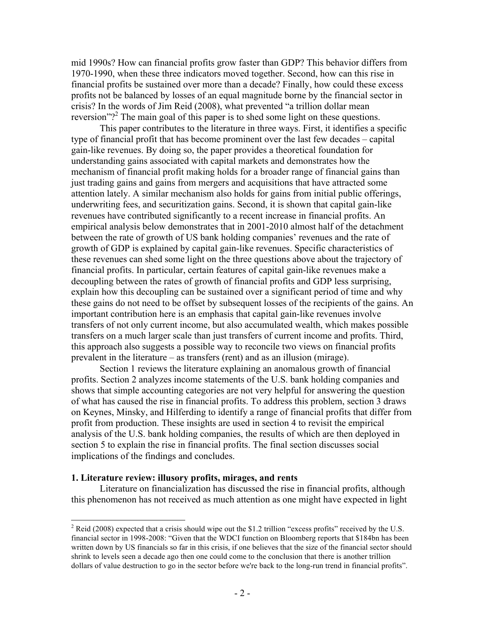mid 1990s? How can financial profits grow faster than GDP? This behavior differs from 1970-1990, when these three indicators moved together. Second, how can this rise in financial profits be sustained over more than a decade? Finally, how could these excess profits not be balanced by losses of an equal magnitude borne by the financial sector in crisis? In the words of Jim Reid (2008), what prevented "a trillion dollar mean reversion"?<sup>2</sup> The main goal of this paper is to shed some light on these questions.

This paper contributes to the literature in three ways. First, it identifies a specific type of financial profit that has become prominent over the last few decades – capital gain-like revenues. By doing so, the paper provides a theoretical foundation for understanding gains associated with capital markets and demonstrates how the mechanism of financial profit making holds for a broader range of financial gains than just trading gains and gains from mergers and acquisitions that have attracted some attention lately. A similar mechanism also holds for gains from initial public offerings, underwriting fees, and securitization gains. Second, it is shown that capital gain-like revenues have contributed significantly to a recent increase in financial profits. An empirical analysis below demonstrates that in 2001-2010 almost half of the detachment between the rate of growth of US bank holding companies' revenues and the rate of growth of GDP is explained by capital gain-like revenues. Specific characteristics of these revenues can shed some light on the three questions above about the trajectory of financial profits. In particular, certain features of capital gain-like revenues make a decoupling between the rates of growth of financial profits and GDP less surprising, explain how this decoupling can be sustained over a significant period of time and why these gains do not need to be offset by subsequent losses of the recipients of the gains. An important contribution here is an emphasis that capital gain-like revenues involve transfers of not only current income, but also accumulated wealth, which makes possible transfers on a much larger scale than just transfers of current income and profits. Third, this approach also suggests a possible way to reconcile two views on financial profits prevalent in the literature – as transfers (rent) and as an illusion (mirage).

Section 1 reviews the literature explaining an anomalous growth of financial profits. Section 2 analyzes income statements of the U.S. bank holding companies and shows that simple accounting categories are not very helpful for answering the question of what has caused the rise in financial profits. To address this problem, section 3 draws on Keynes, Minsky, and Hilferding to identify a range of financial profits that differ from profit from production. These insights are used in section 4 to revisit the empirical analysis of the U.S. bank holding companies, the results of which are then deployed in section 5 to explain the rise in financial profits. The final section discusses social implications of the findings and concludes.

#### **1. Literature review: illusory profits, mirages, and rents**

Literature on financialization has discussed the rise in financial profits, although this phenomenon has not received as much attention as one might have expected in light

<sup>&</sup>lt;sup>2</sup> Reid (2008) expected that a crisis should wipe out the \$1.2 trillion "excess profits" received by the U.S. financial sector in 1998-2008: "Given that the WDCI function on Bloomberg reports that \$184bn has been written down by US financials so far in this crisis, if one believes that the size of the financial sector should shrink to levels seen a decade ago then one could come to the conclusion that there is another trillion dollars of value destruction to go in the sector before we're back to the long-run trend in financial profits".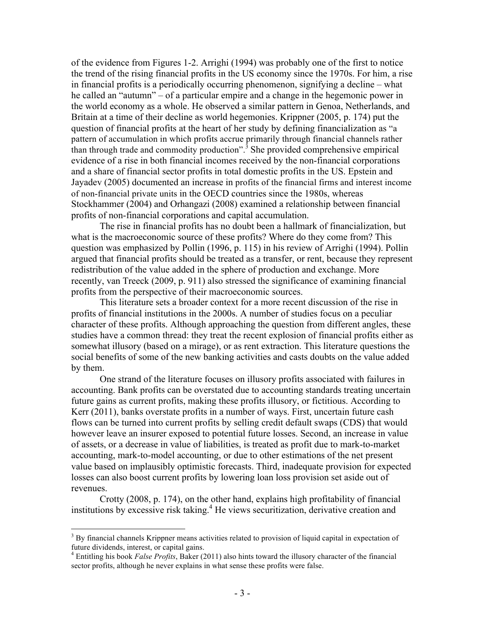of the evidence from Figures 1-2. Arrighi (1994) was probably one of the first to notice the trend of the rising financial profits in the US economy since the 1970s. For him, a rise in financial profits is a periodically occurring phenomenon, signifying a decline – what he called an "autumn" – of a particular empire and a change in the hegemonic power in the world economy as a whole. He observed a similar pattern in Genoa, Netherlands, and Britain at a time of their decline as world hegemonies. Krippner (2005, p. 174) put the question of financial profits at the heart of her study by defining financialization as "a pattern of accumulation in which profits accrue primarily through financial channels rather than through trade and commodity production".<sup>3</sup> She provided comprehensive empirical evidence of a rise in both financial incomes received by the non-financial corporations and a share of financial sector profits in total domestic profits in the US. Epstein and Jayadev (2005) documented an increase in profits of the financial firms and interest income of non-financial private units in the OECD countries since the 1980s, whereas Stockhammer (2004) and Orhangazi (2008) examined a relationship between financial profits of non-financial corporations and capital accumulation.

The rise in financial profits has no doubt been a hallmark of financialization, but what is the macroeconomic source of these profits? Where do they come from? This question was emphasized by Pollin (1996, p. 115) in his review of Arrighi (1994). Pollin argued that financial profits should be treated as a transfer, or rent, because they represent redistribution of the value added in the sphere of production and exchange. More recently, van Treeck (2009, p. 911) also stressed the significance of examining financial profits from the perspective of their macroeconomic sources.

This literature sets a broader context for a more recent discussion of the rise in profits of financial institutions in the 2000s. A number of studies focus on a peculiar character of these profits. Although approaching the question from different angles, these studies have a common thread: they treat the recent explosion of financial profits either as somewhat illusory (based on a mirage), or as rent extraction. This literature questions the social benefits of some of the new banking activities and casts doubts on the value added by them.

One strand of the literature focuses on illusory profits associated with failures in accounting. Bank profits can be overstated due to accounting standards treating uncertain future gains as current profits, making these profits illusory, or fictitious. According to Kerr (2011), banks overstate profits in a number of ways. First, uncertain future cash flows can be turned into current profits by selling credit default swaps (CDS) that would however leave an insurer exposed to potential future losses. Second, an increase in value of assets, or a decrease in value of liabilities, is treated as profit due to mark-to-market accounting, mark-to-model accounting, or due to other estimations of the net present value based on implausibly optimistic forecasts. Third, inadequate provision for expected losses can also boost current profits by lowering loan loss provision set aside out of revenues.

Crotty (2008, p. 174), on the other hand, explains high profitability of financial institutions by excessive risk taking. <sup>4</sup> He views securitization, derivative creation and

 $3$  By financial channels Krippner means activities related to provision of liquid capital in expectation of future dividends, interest, or capital gains.

<sup>4</sup> Entitling his book *False Profits*, Baker (2011) also hints toward the illusory character of the financial sector profits, although he never explains in what sense these profits were false.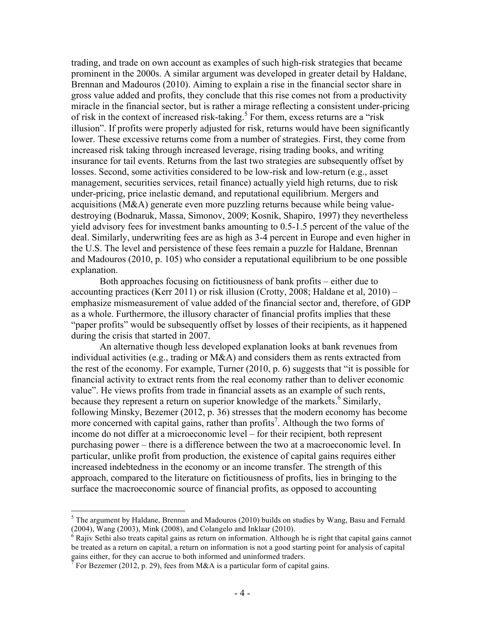trading, and trade on own account as examples of such high-risk strategies that became prominent in the 2000s. A similar argument was developed in greater detail by Haldane, Brennan and Madouros (2010). Aiming to explain a rise in the financial sector share in gross value added and profits, they conclude that this rise comes not from a productivity miracle in the financial sector, but is rather a mirage reflecting a consistent under-pricing of risk in the context of increased risk-taking.<sup>5</sup> For them, excess returns are a "risk" illusion". If profits were properly adjusted for risk, returns would have been significantly lower. These excessive returns come from a number of strategies. First, they come from increased risk taking through increased leverage, rising trading books, and writing insurance for tail events. Returns from the last two strategies are subsequently offset by losses. Second, some activities considered to be low-risk and low-return (e.g., asset management, securities services, retail finance) actually yield high returns, due to risk under-pricing, price inelastic demand, and reputational equilibrium. Mergers and acquisitions (M&A) generate even more puzzling returns because while being valuedestroying (Bodnaruk, Massa, Simonov, 2009; Kosnik, Shapiro, 1997) they nevertheless yield advisory fees for investment banks amounting to 0.5-1.5 percent of the value of the deal. Similarly, underwriting fees are as high as 3-4 percent in Europe and even higher in the U.S. The level and persistence of these fees remain a puzzle for Haldane, Brennan and Madouros (2010, p. 105) who consider a reputational equilibrium to be one possible explanation.

Both approaches focusing on fictitiousness of bank profits – either due to accounting practices (Kerr 2011) or risk illusion (Crotty, 2008; Haldane et al, 2010) – emphasize mismeasurement of value added of the financial sector and, therefore, of GDP as a whole. Furthermore, the illusory character of financial profits implies that these "paper profits" would be subsequently offset by losses of their recipients, as it happened during the crisis that started in 2007.

An alternative though less developed explanation looks at bank revenues from individual activities (e.g., trading or  $M&A$ ) and considers them as rents extracted from the rest of the economy. For example, Turner (2010, p. 6) suggests that "it is possible for financial activity to extract rents from the real economy rather than to deliver economic value". He views profits from trade in financial assets as an example of such rents, because they represent a return on superior knowledge of the markets.<sup>6</sup> Similarly, following Minsky, Bezemer (2012, p. 36) stresses that the modern economy has become more concerned with capital gains, rather than profits<sup>7</sup>. Although the two forms of income do not differ at a microeconomic level – for their recipient, both represent purchasing power – there is a difference between the two at a macroeconomic level. In particular, unlike profit from production, the existence of capital gains requires either increased indebtedness in the economy or an income transfer. The strength of this approach, compared to the literature on fictitiousness of profits, lies in bringing to the surface the macroeconomic source of financial profits, as opposed to accounting

 $<sup>5</sup>$  The argument by Haldane, Brennan and Madouros (2010) builds on studies by Wang, Basu and Fernald</sup> (2004), Wang (2003), Mink (2008), and Colangelo and Inklaar (2010).<br><sup>6</sup> Rajiv Sethi also treats capital gains as return on information. Although he is right that capital gains cannot

be treated as a return on capital, a return on information is not a good starting point for analysis of capital gains either, for they can accrue to both informed and uninformed traders.<br><sup>7</sup> For Bezemer (2012, p. 29), fees from M&A is a particular form of capital gains.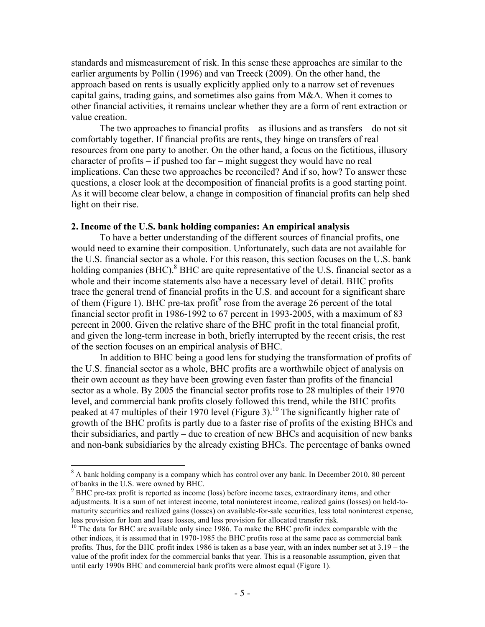standards and mismeasurement of risk. In this sense these approaches are similar to the earlier arguments by Pollin (1996) and van Treeck (2009). On the other hand, the approach based on rents is usually explicitly applied only to a narrow set of revenues – capital gains, trading gains, and sometimes also gains from  $M&A$ . When it comes to other financial activities, it remains unclear whether they are a form of rent extraction or value creation.

The two approaches to financial profits – as illusions and as transfers – do not sit comfortably together. If financial profits are rents, they hinge on transfers of real resources from one party to another. On the other hand, a focus on the fictitious, illusory character of profits – if pushed too far – might suggest they would have no real implications. Can these two approaches be reconciled? And if so, how? To answer these questions, a closer look at the decomposition of financial profits is a good starting point. As it will become clear below, a change in composition of financial profits can help shed light on their rise.

# **2. Income of the U.S. bank holding companies: An empirical analysis**

To have a better understanding of the different sources of financial profits, one would need to examine their composition. Unfortunately, such data are not available for the U.S. financial sector as a whole. For this reason, this section focuses on the U.S. bank holding companies (BHC).<sup>8</sup> BHC are quite representative of the U.S. financial sector as a whole and their income statements also have a necessary level of detail. BHC profits trace the general trend of financial profits in the U.S. and account for a significant share of them (Figure 1). BHC pre-tax profit<sup>9</sup> rose from the average 26 percent of the total financial sector profit in 1986-1992 to 67 percent in 1993-2005, with a maximum of 83 percent in 2000. Given the relative share of the BHC profit in the total financial profit, and given the long-term increase in both, briefly interrupted by the recent crisis, the rest of the section focuses on an empirical analysis of BHC.

In addition to BHC being a good lens for studying the transformation of profits of the U.S. financial sector as a whole, BHC profits are a worthwhile object of analysis on their own account as they have been growing even faster than profits of the financial sector as a whole. By 2005 the financial sector profits rose to 28 multiples of their 1970 level, and commercial bank profits closely followed this trend, while the BHC profits peaked at 47 multiples of their 1970 level (Figure 3).<sup>10</sup> The significantly higher rate of growth of the BHC profits is partly due to a faster rise of profits of the existing BHCs and their subsidiaries, and partly – due to creation of new BHCs and acquisition of new banks and non-bank subsidiaries by the already existing BHCs. The percentage of banks owned

 $8$  A bank holding company is a company which has control over any bank. In December 2010, 80 percent of banks in the U.S. were owned by BHC.

 $9$  BHC pre-tax profit is reported as income (loss) before income taxes, extraordinary items, and other adjustments. It is a sum of net interest income, total noninterest income, realized gains (losses) on held-tomaturity securities and realized gains (losses) on available-for-sale securities, less total noninterest expense, less provision for loan and lease losses, and less provision for allocated transfer risk.

<sup>&</sup>lt;sup>10</sup> The data for BHC are available only since 1986. To make the BHC profit index comparable with the other indices, it is assumed that in 1970-1985 the BHC profits rose at the same pace as commercial bank profits. Thus, for the BHC profit index 1986 is taken as a base year, with an index number set at 3.19 – the value of the profit index for the commercial banks that year. This is a reasonable assumption, given that until early 1990s BHC and commercial bank profits were almost equal (Figure 1).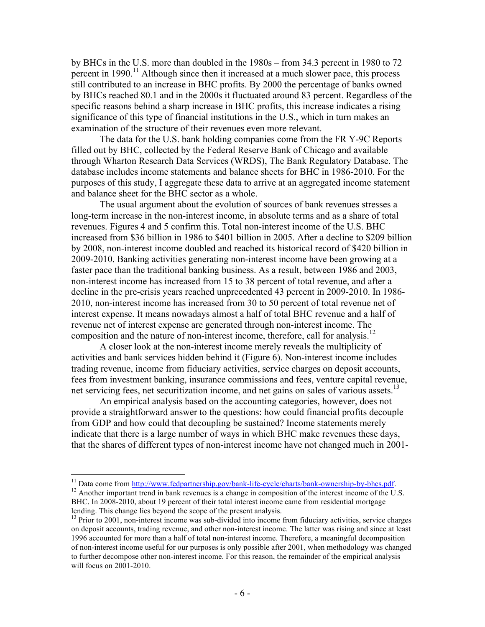by BHCs in the U.S. more than doubled in the 1980s – from 34.3 percent in 1980 to 72 percent in 1990.<sup>11</sup> Although since then it increased at a much slower pace, this process still contributed to an increase in BHC profits. By 2000 the percentage of banks owned by BHCs reached 80.1 and in the 2000s it fluctuated around 83 percent. Regardless of the specific reasons behind a sharp increase in BHC profits, this increase indicates a rising significance of this type of financial institutions in the U.S., which in turn makes an examination of the structure of their revenues even more relevant.

The data for the U.S. bank holding companies come from the FR Y-9C Reports filled out by BHC, collected by the Federal Reserve Bank of Chicago and available through Wharton Research Data Services (WRDS), The Bank Regulatory Database. The database includes income statements and balance sheets for BHC in 1986-2010. For the purposes of this study, I aggregate these data to arrive at an aggregated income statement and balance sheet for the BHC sector as a whole.

The usual argument about the evolution of sources of bank revenues stresses a long-term increase in the non-interest income, in absolute terms and as a share of total revenues. Figures 4 and 5 confirm this. Total non-interest income of the U.S. BHC increased from \$36 billion in 1986 to \$401 billion in 2005. After a decline to \$209 billion by 2008, non-interest income doubled and reached its historical record of \$420 billion in 2009-2010. Banking activities generating non-interest income have been growing at a faster pace than the traditional banking business. As a result, between 1986 and 2003, non-interest income has increased from 15 to 38 percent of total revenue, and after a decline in the pre-crisis years reached unprecedented 43 percent in 2009-2010. In 1986- 2010, non-interest income has increased from 30 to 50 percent of total revenue net of interest expense. It means nowadays almost a half of total BHC revenue and a half of revenue net of interest expense are generated through non-interest income. The composition and the nature of non-interest income, therefore, call for analysis.<sup>12</sup>

A closer look at the non-interest income merely reveals the multiplicity of activities and bank services hidden behind it (Figure 6). Non-interest income includes trading revenue, income from fiduciary activities, service charges on deposit accounts, fees from investment banking, insurance commissions and fees, venture capital revenue, net servicing fees, net securitization income, and net gains on sales of various assets.<sup>13</sup>

An empirical analysis based on the accounting categories, however, does not provide a straightforward answer to the questions: how could financial profits decouple from GDP and how could that decoupling be sustained? Income statements merely indicate that there is a large number of ways in which BHC make revenues these days, that the shares of different types of non-interest income have not changed much in 2001-

<sup>&</sup>lt;sup>11</sup> Data come from http://www.fedpartnership.gov/bank-life-cycle/charts/bank-ownership-by-bhcs.pdf. <sup>12</sup> Another important trend in bank revenues is a change in composition of the interest income of the U.S.

BHC. In 2008-2010, about 19 percent of their total interest income came from residential mortgage lending. This change lies beyond the scope of the present analysis.<br><sup>13</sup> Prior to 2001, non-interest income was sub-divided into income from fiduciary activities, service charges

on deposit accounts, trading revenue, and other non-interest income. The latter was rising and since at least 1996 accounted for more than a half of total non-interest income. Therefore, a meaningful decomposition of non-interest income useful for our purposes is only possible after 2001, when methodology was changed to further decompose other non-interest income. For this reason, the remainder of the empirical analysis will focus on 2001-2010.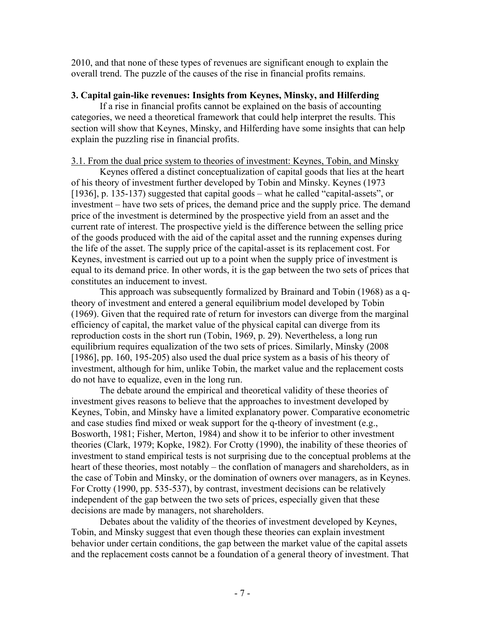2010, and that none of these types of revenues are significant enough to explain the overall trend. The puzzle of the causes of the rise in financial profits remains.

# **3. Capital gain-like revenues: Insights from Keynes, Minsky, and Hilferding**

If a rise in financial profits cannot be explained on the basis of accounting categories, we need a theoretical framework that could help interpret the results. This section will show that Keynes, Minsky, and Hilferding have some insights that can help explain the puzzling rise in financial profits.

# 3.1. From the dual price system to theories of investment: Keynes, Tobin, and Minsky

Keynes offered a distinct conceptualization of capital goods that lies at the heart of his theory of investment further developed by Tobin and Minsky. Keynes (1973 [1936], p. 135-137) suggested that capital goods – what he called "capital-assets", or investment – have two sets of prices, the demand price and the supply price. The demand price of the investment is determined by the prospective yield from an asset and the current rate of interest. The prospective yield is the difference between the selling price of the goods produced with the aid of the capital asset and the running expenses during the life of the asset. The supply price of the capital-asset is its replacement cost. For Keynes, investment is carried out up to a point when the supply price of investment is equal to its demand price. In other words, it is the gap between the two sets of prices that constitutes an inducement to invest.

This approach was subsequently formalized by Brainard and Tobin (1968) as a qtheory of investment and entered a general equilibrium model developed by Tobin (1969). Given that the required rate of return for investors can diverge from the marginal efficiency of capital, the market value of the physical capital can diverge from its reproduction costs in the short run (Tobin, 1969, p. 29). Nevertheless, a long run equilibrium requires equalization of the two sets of prices. Similarly, Minsky (2008 [1986], pp. 160, 195-205) also used the dual price system as a basis of his theory of investment, although for him, unlike Tobin, the market value and the replacement costs do not have to equalize, even in the long run.

The debate around the empirical and theoretical validity of these theories of investment gives reasons to believe that the approaches to investment developed by Keynes, Tobin, and Minsky have a limited explanatory power. Comparative econometric and case studies find mixed or weak support for the q-theory of investment (e.g., Bosworth, 1981; Fisher, Merton, 1984) and show it to be inferior to other investment theories (Clark, 1979; Kopke, 1982). For Crotty (1990), the inability of these theories of investment to stand empirical tests is not surprising due to the conceptual problems at the heart of these theories, most notably – the conflation of managers and shareholders, as in the case of Tobin and Minsky, or the domination of owners over managers, as in Keynes. For Crotty (1990, pp. 535-537), by contrast, investment decisions can be relatively independent of the gap between the two sets of prices, especially given that these decisions are made by managers, not shareholders.

Debates about the validity of the theories of investment developed by Keynes, Tobin, and Minsky suggest that even though these theories can explain investment behavior under certain conditions, the gap between the market value of the capital assets and the replacement costs cannot be a foundation of a general theory of investment. That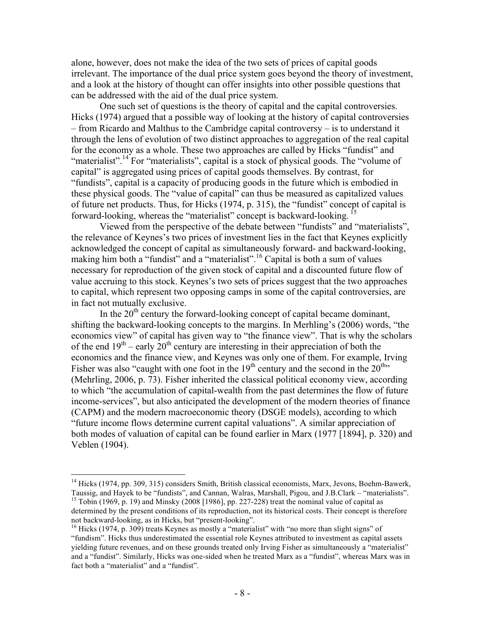alone, however, does not make the idea of the two sets of prices of capital goods irrelevant. The importance of the dual price system goes beyond the theory of investment, and a look at the history of thought can offer insights into other possible questions that can be addressed with the aid of the dual price system.

One such set of questions is the theory of capital and the capital controversies. Hicks (1974) argued that a possible way of looking at the history of capital controversies – from Ricardo and Malthus to the Cambridge capital controversy – is to understand it through the lens of evolution of two distinct approaches to aggregation of the real capital for the economy as a whole. These two approaches are called by Hicks "fundist" and "materialist".<sup>14</sup> For "materialists", capital is a stock of physical goods. The "volume of capital" is aggregated using prices of capital goods themselves. By contrast, for "fundists", capital is a capacity of producing goods in the future which is embodied in these physical goods. The "value of capital" can thus be measured as capitalized values of future net products. Thus, for Hicks (1974, p. 315), the "fundist" concept of capital is forward-looking, whereas the "materialist" concept is backward-looking. <sup>15</sup>

Viewed from the perspective of the debate between "fundists" and "materialists", the relevance of Keynes's two prices of investment lies in the fact that Keynes explicitly acknowledged the concept of capital as simultaneously forward- and backward-looking, making him both a "fundist" and a "materialist".<sup>16</sup> Capital is both a sum of values necessary for reproduction of the given stock of capital and a discounted future flow of value accruing to this stock. Keynes's two sets of prices suggest that the two approaches to capital, which represent two opposing camps in some of the capital controversies, are in fact not mutually exclusive.

In the  $20<sup>th</sup>$  century the forward-looking concept of capital became dominant, shifting the backward-looking concepts to the margins. In Merhling's (2006) words, "the economics view" of capital has given way to "the finance view". That is why the scholars of the end  $19<sup>th</sup>$  – early  $20<sup>th</sup>$  century are interesting in their appreciation of both the economics and the finance view, and Keynes was only one of them. For example, Irving Fisher was also "caught with one foot in the  $19<sup>th</sup>$  century and the second in the  $20<sup>th</sup>$ " (Mehrling, 2006, p. 73). Fisher inherited the classical political economy view, according to which "the accumulation of capital-wealth from the past determines the flow of future income-services", but also anticipated the development of the modern theories of finance (CAPM) and the modern macroeconomic theory (DSGE models), according to which "future income flows determine current capital valuations". A similar appreciation of both modes of valuation of capital can be found earlier in Marx (1977 [1894], p. 320) and Veblen (1904).

<sup>&</sup>lt;sup>14</sup> Hicks (1974, pp. 309, 315) considers Smith, British classical economists, Marx, Jevons, Boehm-Bawerk, Taussig, and Hayek to be "fundists", and Cannan, Walras, Marshall, Pigou, and J.B.Clark – "materialists".  $15$  Tobin (1969, p. 19) and Minsky (2008 [1986], pp. 227-228) treat the nominal value of capital as determined by the present conditions of its reproduction, not its historical costs. Their concept is therefore not backward-looking, as in Hicks, but "present-looking".<br><sup>16</sup> Hicks (1974, p. 309) treats Keynes as mostly a "materialist" with "no more than slight signs" of

<sup>&</sup>quot;fundism". Hicks thus underestimated the essential role Keynes attributed to investment as capital assets yielding future revenues, and on these grounds treated only Irving Fisher as simultaneously a "materialist" and a "fundist". Similarly, Hicks was one-sided when he treated Marx as a "fundist", whereas Marx was in fact both a "materialist" and a "fundist".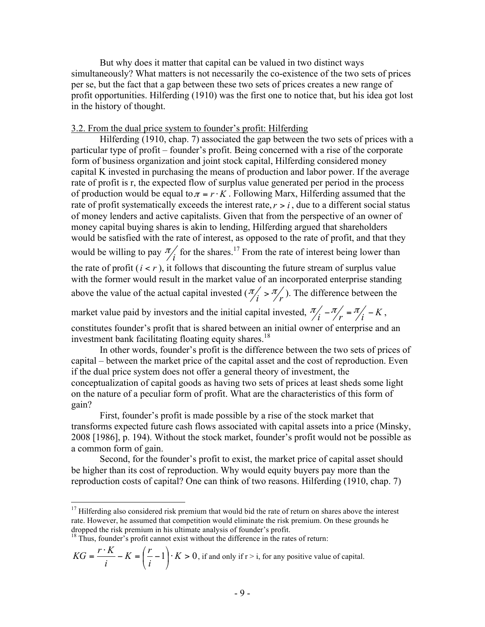But why does it matter that capital can be valued in two distinct ways simultaneously? What matters is not necessarily the co-existence of the two sets of prices per se, but the fact that a gap between these two sets of prices creates a new range of profit opportunities. Hilferding (1910) was the first one to notice that, but his idea got lost in the history of thought.

# 3.2. From the dual price system to founder's profit: Hilferding

Hilferding (1910, chap. 7) associated the gap between the two sets of prices with a particular type of profit – founder's profit. Being concerned with a rise of the corporate form of business organization and joint stock capital, Hilferding considered money capital K invested in purchasing the means of production and labor power. If the average rate of profit is r, the expected flow of surplus value generated per period in the process of production would be equal to  $\pi = r \cdot K$ . Following Marx, Hilferding assumed that the rate of profit systematically exceeds the interest rate,  $r > i$ , due to a different social status of money lenders and active capitalists. Given that from the perspective of an owner of money capital buying shares is akin to lending, Hilferding argued that shareholders would be satisfied with the rate of interest, as opposed to the rate of profit, and that they would be willing to pay  $\frac{\pi}{i}$  for the shares.<sup>17</sup> From the rate of interest being lower than the rate of profit  $(i < r)$ , it follows that discounting the future stream of surplus value with the former would result in the market value of an incorporated enterprise standing above the value of the actual capital invested  $(\frac{\pi}{i} > \frac{\pi}{r})$ . The difference between the

market value paid by investors and the initial capital invested,  $\frac{\pi}{i} - \frac{\pi}{r} = \frac{\pi}{i} - K$ , constitutes founder's profit that is shared between an initial owner of enterprise and an

investment bank facilitating floating equity shares.<sup>18</sup>

In other words, founder's profit is the difference between the two sets of prices of capital – between the market price of the capital asset and the cost of reproduction. Even if the dual price system does not offer a general theory of investment, the conceptualization of capital goods as having two sets of prices at least sheds some light on the nature of a peculiar form of profit. What are the characteristics of this form of gain?

First, founder's profit is made possible by a rise of the stock market that transforms expected future cash flows associated with capital assets into a price (Minsky, 2008 [1986], p. 194). Without the stock market, founder's profit would not be possible as a common form of gain.

Second, for the founder's profit to exist, the market price of capital asset should be higher than its cost of reproduction. Why would equity buyers pay more than the reproduction costs of capital? One can think of two reasons. Hilferding (1910, chap. 7)

$$
KG = \frac{r \cdot K}{i} - K = \left(\frac{r}{i} - 1\right) \cdot K > 0
$$
, if and only if  $r > i$ , for any positive value of capital.

 $17$  Hilferding also considered risk premium that would bid the rate of return on shares above the interest rate. However, he assumed that competition would eliminate the risk premium. On these grounds he dropped the risk premium in his ultimate analysis of founder's profit.

<sup>&</sup>lt;sup>18</sup> Thus, founder's profit cannot exist without the difference in the rates of return: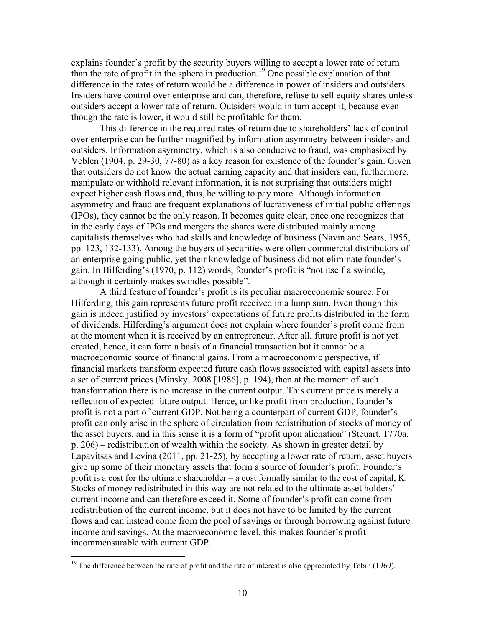explains founder's profit by the security buyers willing to accept a lower rate of return than the rate of profit in the sphere in production.<sup>19</sup> One possible explanation of that difference in the rates of return would be a difference in power of insiders and outsiders. Insiders have control over enterprise and can, therefore, refuse to sell equity shares unless outsiders accept a lower rate of return. Outsiders would in turn accept it, because even though the rate is lower, it would still be profitable for them.

This difference in the required rates of return due to shareholders' lack of control over enterprise can be further magnified by information asymmetry between insiders and outsiders. Information asymmetry, which is also conducive to fraud, was emphasized by Veblen (1904, p. 29-30, 77-80) as a key reason for existence of the founder's gain. Given that outsiders do not know the actual earning capacity and that insiders can, furthermore, manipulate or withhold relevant information, it is not surprising that outsiders might expect higher cash flows and, thus, be willing to pay more. Although information asymmetry and fraud are frequent explanations of lucrativeness of initial public offerings (IPOs), they cannot be the only reason. It becomes quite clear, once one recognizes that in the early days of IPOs and mergers the shares were distributed mainly among capitalists themselves who had skills and knowledge of business (Navin and Sears, 1955, pp. 123, 132-133). Among the buyers of securities were often commercial distributors of an enterprise going public, yet their knowledge of business did not eliminate founder's gain. In Hilferding's (1970, p. 112) words, founder's profit is "not itself a swindle, although it certainly makes swindles possible".

A third feature of founder's profit is its peculiar macroeconomic source. For Hilferding, this gain represents future profit received in a lump sum. Even though this gain is indeed justified by investors' expectations of future profits distributed in the form of dividends, Hilferding's argument does not explain where founder's profit come from at the moment when it is received by an entrepreneur. After all, future profit is not yet created, hence, it can form a basis of a financial transaction but it cannot be a macroeconomic source of financial gains. From a macroeconomic perspective, if financial markets transform expected future cash flows associated with capital assets into a set of current prices (Minsky, 2008 [1986], p. 194), then at the moment of such transformation there is no increase in the current output. This current price is merely a reflection of expected future output. Hence, unlike profit from production, founder's profit is not a part of current GDP. Not being a counterpart of current GDP, founder's profit can only arise in the sphere of circulation from redistribution of stocks of money of the asset buyers, and in this sense it is a form of "profit upon alienation" (Steuart, 1770a, p. 206) – redistribution of wealth within the society. As shown in greater detail by Lapavitsas and Levina (2011, pp. 21-25), by accepting a lower rate of return, asset buyers give up some of their monetary assets that form a source of founder's profit. Founder's profit is a cost for the ultimate shareholder – a cost formally similar to the cost of capital, K. Stocks of money redistributed in this way are not related to the ultimate asset holders' current income and can therefore exceed it. Some of founder's profit can come from redistribution of the current income, but it does not have to be limited by the current flows and can instead come from the pool of savings or through borrowing against future income and savings. At the macroeconomic level, this makes founder's profit incommensurable with current GDP.

 $19$  The difference between the rate of profit and the rate of interest is also appreciated by Tobin (1969).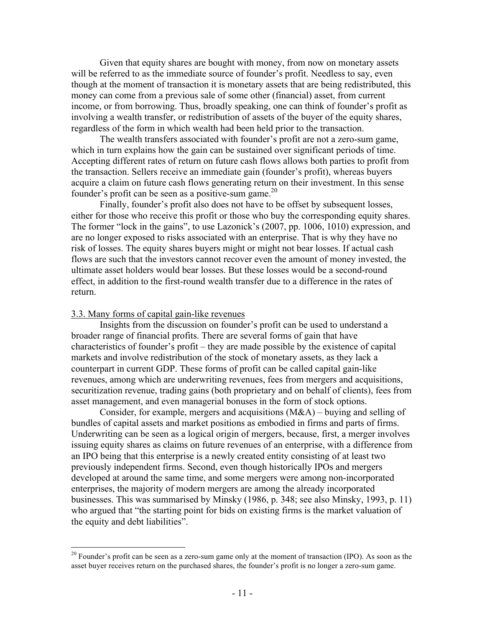Given that equity shares are bought with money, from now on monetary assets will be referred to as the immediate source of founder's profit. Needless to say, even though at the moment of transaction it is monetary assets that are being redistributed, this money can come from a previous sale of some other (financial) asset, from current income, or from borrowing. Thus, broadly speaking, one can think of founder's profit as involving a wealth transfer, or redistribution of assets of the buyer of the equity shares, regardless of the form in which wealth had been held prior to the transaction.

The wealth transfers associated with founder's profit are not a zero-sum game, which in turn explains how the gain can be sustained over significant periods of time. Accepting different rates of return on future cash flows allows both parties to profit from the transaction. Sellers receive an immediate gain (founder's profit), whereas buyers acquire a claim on future cash flows generating return on their investment. In this sense founder's profit can be seen as a positive-sum game. 20

Finally, founder's profit also does not have to be offset by subsequent losses, either for those who receive this profit or those who buy the corresponding equity shares. The former "lock in the gains", to use Lazonick's (2007, pp. 1006, 1010) expression, and are no longer exposed to risks associated with an enterprise. That is why they have no risk of losses. The equity shares buyers might or might not bear losses. If actual cash flows are such that the investors cannot recover even the amount of money invested, the ultimate asset holders would bear losses. But these losses would be a second-round effect, in addition to the first-round wealth transfer due to a difference in the rates of return.

#### 3.3. Many forms of capital gain-like revenues

Insights from the discussion on founder's profit can be used to understand a broader range of financial profits. There are several forms of gain that have characteristics of founder's profit – they are made possible by the existence of capital markets and involve redistribution of the stock of monetary assets, as they lack a counterpart in current GDP. These forms of profit can be called capital gain-like revenues, among which are underwriting revenues, fees from mergers and acquisitions, securitization revenue, trading gains (both proprietary and on behalf of clients), fees from asset management, and even managerial bonuses in the form of stock options.

Consider, for example, mergers and acquisitions (M&A) – buying and selling of bundles of capital assets and market positions as embodied in firms and parts of firms. Underwriting can be seen as a logical origin of mergers, because, first, a merger involves issuing equity shares as claims on future revenues of an enterprise, with a difference from an IPO being that this enterprise is a newly created entity consisting of at least two previously independent firms. Second, even though historically IPOs and mergers developed at around the same time, and some mergers were among non-incorporated enterprises, the majority of modern mergers are among the already incorporated businesses. This was summarised by Minsky (1986, p. 348; see also Minsky, 1993, p. 11) who argued that "the starting point for bids on existing firms is the market valuation of the equity and debt liabilities".

 $20$  Founder's profit can be seen as a zero-sum game only at the moment of transaction (IPO). As soon as the asset buyer receives return on the purchased shares, the founder's profit is no longer a zero-sum game.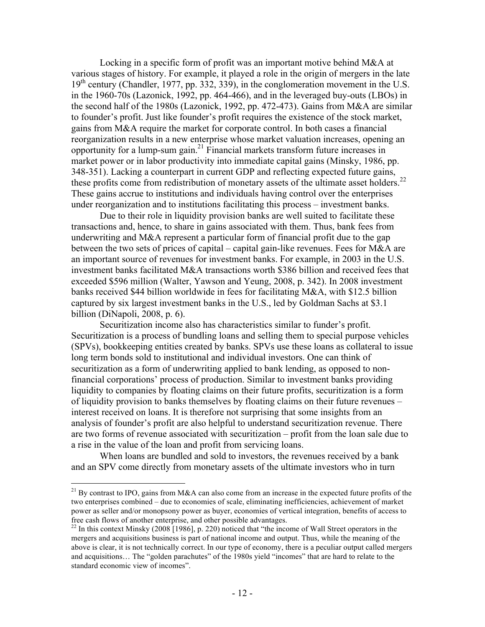Locking in a specific form of profit was an important motive behind M&A at various stages of history. For example, it played a role in the origin of mergers in the late  $19<sup>th</sup>$  century (Chandler, 1977, pp. 332, 339), in the conglomeration movement in the U.S. in the 1960-70s (Lazonick, 1992, pp. 464-466), and in the leveraged buy-outs (LBOs) in the second half of the 1980s (Lazonick, 1992, pp. 472-473). Gains from M&A are similar to founder's profit. Just like founder's profit requires the existence of the stock market, gains from M&A require the market for corporate control. In both cases a financial reorganization results in a new enterprise whose market valuation increases, opening an opportunity for a lump-sum gain. $^{21}$  Financial markets transform future increases in market power or in labor productivity into immediate capital gains (Minsky, 1986, pp. 348-351). Lacking a counterpart in current GDP and reflecting expected future gains, these profits come from redistribution of monetary assets of the ultimate asset holders.<sup>22</sup> These gains accrue to institutions and individuals having control over the enterprises under reorganization and to institutions facilitating this process – investment banks.

Due to their role in liquidity provision banks are well suited to facilitate these transactions and, hence, to share in gains associated with them. Thus, bank fees from underwriting and M&A represent a particular form of financial profit due to the gap between the two sets of prices of capital – capital gain-like revenues. Fees for M&A are an important source of revenues for investment banks. For example, in 2003 in the U.S. investment banks facilitated M&A transactions worth \$386 billion and received fees that exceeded \$596 million (Walter, Yawson and Yeung, 2008, p. 342). In 2008 investment banks received \$44 billion worldwide in fees for facilitating M&A, with \$12.5 billion captured by six largest investment banks in the U.S., led by Goldman Sachs at \$3.1 billion (DiNapoli, 2008, p. 6).

Securitization income also has characteristics similar to funder's profit. Securitization is a process of bundling loans and selling them to special purpose vehicles (SPVs), bookkeeping entities created by banks. SPVs use these loans as collateral to issue long term bonds sold to institutional and individual investors. One can think of securitization as a form of underwriting applied to bank lending, as opposed to nonfinancial corporations' process of production. Similar to investment banks providing liquidity to companies by floating claims on their future profits, securitization is a form of liquidity provision to banks themselves by floating claims on their future revenues – interest received on loans. It is therefore not surprising that some insights from an analysis of founder's profit are also helpful to understand securitization revenue. There are two forms of revenue associated with securitization – profit from the loan sale due to a rise in the value of the loan and profit from servicing loans.

When loans are bundled and sold to investors, the revenues received by a bank and an SPV come directly from monetary assets of the ultimate investors who in turn

<sup>&</sup>lt;sup>21</sup> By contrast to IPO, gains from M&A can also come from an increase in the expected future profits of the two enterprises combined – due to economies of scale, eliminating inefficiencies, achievement of market power as seller and/or monopsony power as buyer, economies of vertical integration, benefits of access to free cash flows of another enterprise, and other possible advantages.

<sup>&</sup>lt;sup>22</sup> In this context Minsky (2008 [1986], p. 220) noticed that "the income of Wall Street operators in the mergers and acquisitions business is part of national income and output. Thus, while the meaning of the above is clear, it is not technically correct. In our type of economy, there is a peculiar output called mergers and acquisitions… The "golden parachutes" of the 1980s yield "incomes" that are hard to relate to the standard economic view of incomes".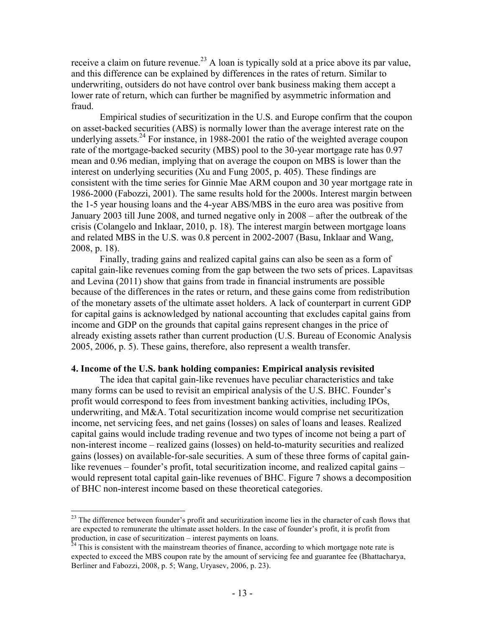receive a claim on future revenue.<sup>23</sup> A loan is typically sold at a price above its par value, and this difference can be explained by differences in the rates of return. Similar to underwriting, outsiders do not have control over bank business making them accept a lower rate of return, which can further be magnified by asymmetric information and fraud.

Empirical studies of securitization in the U.S. and Europe confirm that the coupon on asset-backed securities (ABS) is normally lower than the average interest rate on the underlying assets.<sup>24</sup> For instance, in 1988-2001 the ratio of the weighted average coupon rate of the mortgage-backed security (MBS) pool to the 30-year mortgage rate has 0.97 mean and 0.96 median, implying that on average the coupon on MBS is lower than the interest on underlying securities (Xu and Fung 2005, p. 405). These findings are consistent with the time series for Ginnie Mae ARM coupon and 30 year mortgage rate in 1986-2000 (Fabozzi, 2001). The same results hold for the 2000s. Interest margin between the 1-5 year housing loans and the 4-year ABS/MBS in the euro area was positive from January 2003 till June 2008, and turned negative only in 2008 – after the outbreak of the crisis (Colangelo and Inklaar, 2010, p. 18). The interest margin between mortgage loans and related MBS in the U.S. was 0.8 percent in 2002-2007 (Basu, Inklaar and Wang, 2008, p. 18).

Finally, trading gains and realized capital gains can also be seen as a form of capital gain-like revenues coming from the gap between the two sets of prices. Lapavitsas and Levina (2011) show that gains from trade in financial instruments are possible because of the differences in the rates or return, and these gains come from redistribution of the monetary assets of the ultimate asset holders. A lack of counterpart in current GDP for capital gains is acknowledged by national accounting that excludes capital gains from income and GDP on the grounds that capital gains represent changes in the price of already existing assets rather than current production (U.S. Bureau of Economic Analysis 2005, 2006, p. 5). These gains, therefore, also represent a wealth transfer.

### **4. Income of the U.S. bank holding companies: Empirical analysis revisited**

The idea that capital gain-like revenues have peculiar characteristics and take many forms can be used to revisit an empirical analysis of the U.S. BHC. Founder's profit would correspond to fees from investment banking activities, including IPOs, underwriting, and M&A. Total securitization income would comprise net securitization income, net servicing fees, and net gains (losses) on sales of loans and leases. Realized capital gains would include trading revenue and two types of income not being a part of non-interest income – realized gains (losses) on held-to-maturity securities and realized gains (losses) on available-for-sale securities. A sum of these three forms of capital gainlike revenues – founder's profit, total securitization income, and realized capital gains – would represent total capital gain-like revenues of BHC. Figure 7 shows a decomposition of BHC non-interest income based on these theoretical categories.

<sup>&</sup>lt;sup>23</sup> The difference between founder's profit and securitization income lies in the character of cash flows that are expected to remunerate the ultimate asset holders. In the case of founder's profit, it is profit from production, in case of securitization – interest payments on loans.<br><sup>24</sup> This is consistent with the mainstream theories of finance, according to which mortgage note rate is

expected to exceed the MBS coupon rate by the amount of servicing fee and guarantee fee (Bhattacharya, Berliner and Fabozzi, 2008, p. 5; Wang, Uryasev, 2006, p. 23).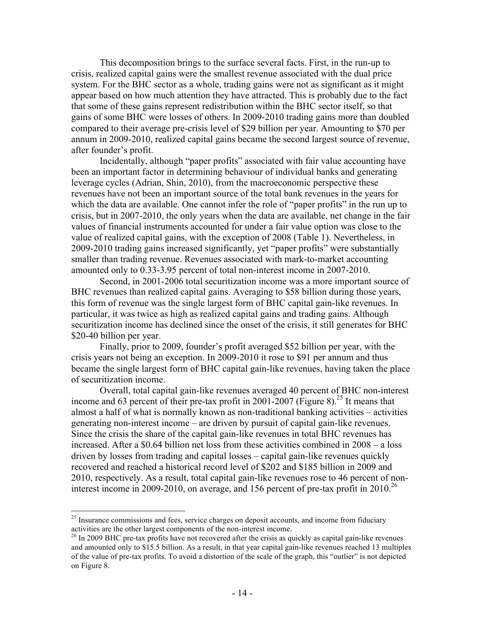This decomposition brings to the surface several facts. First, in the run-up to crisis, realized capital gains were the smallest revenue associated with the dual price system. For the BHC sector as a whole, trading gains were not as significant as it might appear based on how much attention they have attracted. This is probably due to the fact that some of these gains represent redistribution within the BHC sector itself, so that gains of some BHC were losses of others. In 2009-2010 trading gains more than doubled compared to their average pre-crisis level of \$29 billion per year. Amounting to \$70 per annum in 2009-2010, realized capital gains became the second largest source of revenue, after founder's profit.

Incidentally, although "paper profits" associated with fair value accounting have been an important factor in determining behaviour of individual banks and generating leverage cycles (Adrian, Shin, 2010), from the macroeconomic perspective these revenues have not been an important source of the total bank revenues in the years for which the data are available. One cannot infer the role of "paper profits" in the run up to crisis, but in 2007-2010, the only years when the data are available, net change in the fair values of financial instruments accounted for under a fair value option was close to the value of realized capital gains, with the exception of 2008 (Table 1). Nevertheless, in 2009-2010 trading gains increased significantly, yet "paper profits" were substantially smaller than trading revenue. Revenues associated with mark-to-market accounting amounted only to 0.33-3.95 percent of total non-interest income in 2007-2010.

Second, in 2001-2006 total securitization income was a more important source of BHC revenues than realized capital gains. Averaging to \$58 billion during those years, this form of revenue was the single largest form of BHC capital gain-like revenues. In particular, it was twice as high as realized capital gains and trading gains. Although securitization income has declined since the onset of the crisis, it still generates for BHC \$20-40 billion per year.

Finally, prior to 2009, founder's profit averaged \$52 billion per year, with the crisis years not being an exception. In 2009-2010 it rose to \$91 per annum and thus became the single largest form of BHC capital gain-like revenues, having taken the place of securitization income.

Overall, total capital gain-like revenues averaged 40 percent of BHC non-interest income and 63 percent of their pre-tax profit in 2001-2007 (Figure 8).<sup>25</sup> It means that almost a half of what is normally known as non-traditional banking activities – activities generating non-interest income – are driven by pursuit of capital gain-like revenues. Since the crisis the share of the capital gain-like revenues in total BHC revenues has increased. After a \$0.64 billion net loss from these activities combined in 2008 – a loss driven by losses from trading and capital losses – capital gain-like revenues quickly recovered and reached a historical record level of \$202 and \$185 billion in 2009 and 2010, respectively. As a result, total capital gain-like revenues rose to 46 percent of noninterest income in 2009-2010, on average, and 156 percent of pre-tax profit in 2010.<sup>26</sup>

 $25$  Insurance commissions and fees, service charges on deposit accounts, and income from fiduciary activities are the other largest components of the non-interest income.

<sup>&</sup>lt;sup>26</sup> In 2009 BHC pre-tax profits have not recovered after the crisis as quickly as capital gain-like revenues and amounted only to \$15.5 billion. As a result, in that year capital gain-like revenues reached 13 multiples of the value of pre-tax profits. To avoid a distortion of the scale of the graph, this "outlier" is not depicted on Figure 8.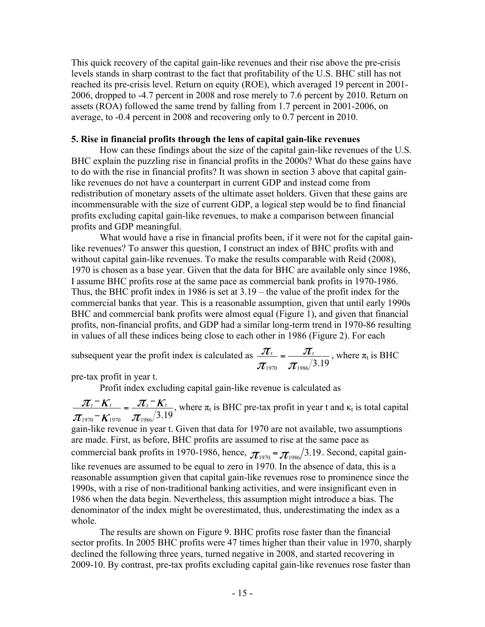This quick recovery of the capital gain-like revenues and their rise above the pre-crisis levels stands in sharp contrast to the fact that profitability of the U.S. BHC still has not reached its pre-crisis level. Return on equity (ROE), which averaged 19 percent in 2001- 2006, dropped to -4.7 percent in 2008 and rose merely to 7.6 percent by 2010. Return on assets (ROA) followed the same trend by falling from 1.7 percent in 2001-2006, on average, to -0.4 percent in 2008 and recovering only to 0.7 percent in 2010.

# **5. Rise in financial profits through the lens of capital gain-like revenues**

How can these findings about the size of the capital gain-like revenues of the U.S. BHC explain the puzzling rise in financial profits in the 2000s? What do these gains have to do with the rise in financial profits? It was shown in section 3 above that capital gainlike revenues do not have a counterpart in current GDP and instead come from redistribution of monetary assets of the ultimate asset holders. Given that these gains are incommensurable with the size of current GDP, a logical step would be to find financial profits excluding capital gain-like revenues, to make a comparison between financial profits and GDP meaningful.

What would have a rise in financial profits been, if it were not for the capital gainlike revenues? To answer this question, I construct an index of BHC profits with and without capital gain-like revenues. To make the results comparable with Reid (2008), 1970 is chosen as a base year. Given that the data for BHC are available only since 1986, I assume BHC profits rose at the same pace as commercial bank profits in 1970-1986. Thus, the BHC profit index in 1986 is set at 3.19 – the value of the profit index for the commercial banks that year. This is a reasonable assumption, given that until early 1990s BHC and commercial bank profits were almost equal (Figure 1), and given that financial profits, non-financial profits, and GDP had a similar long-term trend in 1970-86 resulting in values of all these indices being close to each other in 1986 (Figure 2). For each

subsequent year the profit index is calculated as 
$$
\frac{\pi_t}{\pi_{1970}} = \frac{\pi_t}{\pi_{1986}/3.19}
$$
, where  $\pi_t$  is BHC

pre-tax profit in year t.

Profit index excluding capital gain-like revenue is calculated as

 $\mathcal{J}_{1970}$  –  $\mathcal{K}_{1970}$  –  $\mathcal{\bm{\pi}}_{1986}/3.19$  $\pi$  ,  $^ \kappa$  $\frac{\pi}{\pi} \frac{\pi}{\kappa_{1970}} = \frac{\pi}{\pi} \frac{\kappa}{\kappa_{1976}}$ , where  $\pi_t$  is BHC pre-tax profit in year t and  $\kappa_t$  is total capital  $\pi$ gain-like revenue in year t. Given that data for 1970 are not available, two assumptions are made. First, as before, BHC profits are assumed to rise at the same pace as commercial bank profits in 1970-1986, hence,  $\pi_{1970} = \pi_{1986}/3.19$ . Second, capital gainlike revenues are assumed to be equal to zero in 1970. In the absence of data, this is a reasonable assumption given that capital gain-like revenues rose to prominence since the 1990s, with a rise of non-traditional banking activities, and were insignificant even in 1986 when the data begin. Nevertheless, this assumption might introduce a bias. The denominator of the index might be overestimated, thus, underestimating the index as a whole.

The results are shown on Figure 9. BHC profits rose faster than the financial sector profits. In 2005 BHC profits were 47 times higher than their value in 1970, sharply declined the following three years, turned negative in 2008, and started recovering in 2009-10. By contrast, pre-tax profits excluding capital gain-like revenues rose faster than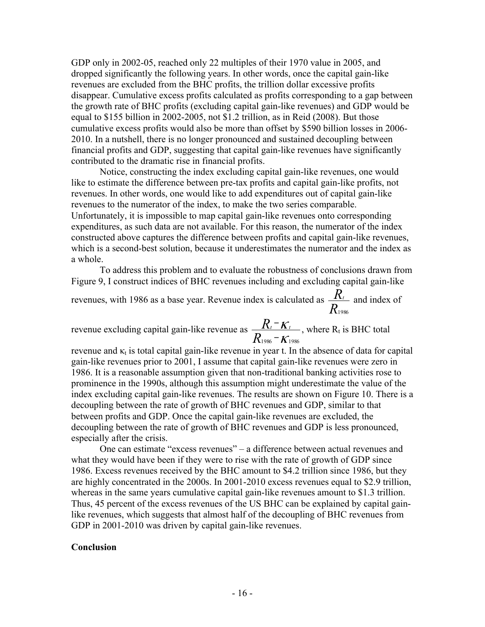GDP only in 2002-05, reached only 22 multiples of their 1970 value in 2005, and dropped significantly the following years. In other words, once the capital gain-like revenues are excluded from the BHC profits, the trillion dollar excessive profits disappear. Cumulative excess profits calculated as profits corresponding to a gap between the growth rate of BHC profits (excluding capital gain-like revenues) and GDP would be equal to \$155 billion in 2002-2005, not \$1.2 trillion, as in Reid (2008). But those cumulative excess profits would also be more than offset by \$590 billion losses in 2006- 2010. In a nutshell, there is no longer pronounced and sustained decoupling between financial profits and GDP, suggesting that capital gain-like revenues have significantly contributed to the dramatic rise in financial profits.

Notice, constructing the index excluding capital gain-like revenues, one would like to estimate the difference between pre-tax profits and capital gain-like profits, not revenues. In other words, one would like to add expenditures out of capital gain-like revenues to the numerator of the index, to make the two series comparable. Unfortunately, it is impossible to map capital gain-like revenues onto corresponding expenditures, as such data are not available. For this reason, the numerator of the index constructed above captures the difference between profits and capital gain-like revenues, which is a second-best solution, because it underestimates the numerator and the index as a whole.

To address this problem and to evaluate the robustness of conclusions drawn from Figure 9, I construct indices of BHC revenues including and excluding capital gain-like

revenues, with 1986 as a base year. Revenue index is calculated as *R*  $R_t$  and index of 1986

revenue excluding capital gain-like revenue as κ κ  $1986 - K_{1986}$ − *R*  $R_t$ <sup>-</sup> $K_t$ </sup>, where R<sub>t</sub> is BHC total

revenue and  $\kappa_t$  is total capital gain-like revenue in year t. In the absence of data for capital gain-like revenues prior to 2001, I assume that capital gain-like revenues were zero in 1986. It is a reasonable assumption given that non-traditional banking activities rose to prominence in the 1990s, although this assumption might underestimate the value of the index excluding capital gain-like revenues. The results are shown on Figure 10. There is a decoupling between the rate of growth of BHC revenues and GDP, similar to that between profits and GDP. Once the capital gain-like revenues are excluded, the decoupling between the rate of growth of BHC revenues and GDP is less pronounced, especially after the crisis.

One can estimate "excess revenues" – a difference between actual revenues and what they would have been if they were to rise with the rate of growth of GDP since 1986. Excess revenues received by the BHC amount to \$4.2 trillion since 1986, but they are highly concentrated in the 2000s. In 2001-2010 excess revenues equal to \$2.9 trillion, whereas in the same years cumulative capital gain-like revenues amount to \$1.3 trillion. Thus, 45 percent of the excess revenues of the US BHC can be explained by capital gainlike revenues, which suggests that almost half of the decoupling of BHC revenues from GDP in 2001-2010 was driven by capital gain-like revenues.

### **Conclusion**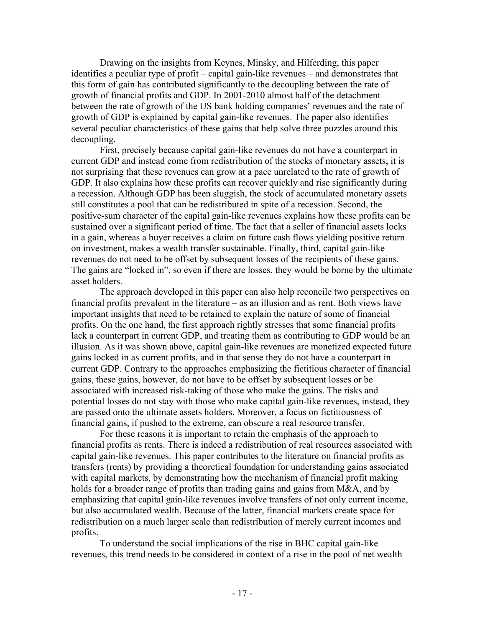Drawing on the insights from Keynes, Minsky, and Hilferding, this paper identifies a peculiar type of profit – capital gain-like revenues – and demonstrates that this form of gain has contributed significantly to the decoupling between the rate of growth of financial profits and GDP. In 2001-2010 almost half of the detachment between the rate of growth of the US bank holding companies' revenues and the rate of growth of GDP is explained by capital gain-like revenues. The paper also identifies several peculiar characteristics of these gains that help solve three puzzles around this decoupling.

First, precisely because capital gain-like revenues do not have a counterpart in current GDP and instead come from redistribution of the stocks of monetary assets, it is not surprising that these revenues can grow at a pace unrelated to the rate of growth of GDP. It also explains how these profits can recover quickly and rise significantly during a recession. Although GDP has been sluggish, the stock of accumulated monetary assets still constitutes a pool that can be redistributed in spite of a recession. Second, the positive-sum character of the capital gain-like revenues explains how these profits can be sustained over a significant period of time. The fact that a seller of financial assets locks in a gain, whereas a buyer receives a claim on future cash flows yielding positive return on investment, makes a wealth transfer sustainable. Finally, third, capital gain-like revenues do not need to be offset by subsequent losses of the recipients of these gains. The gains are "locked in", so even if there are losses, they would be borne by the ultimate asset holders.

The approach developed in this paper can also help reconcile two perspectives on financial profits prevalent in the literature – as an illusion and as rent. Both views have important insights that need to be retained to explain the nature of some of financial profits. On the one hand, the first approach rightly stresses that some financial profits lack a counterpart in current GDP, and treating them as contributing to GDP would be an illusion. As it was shown above, capital gain-like revenues are monetized expected future gains locked in as current profits, and in that sense they do not have a counterpart in current GDP. Contrary to the approaches emphasizing the fictitious character of financial gains, these gains, however, do not have to be offset by subsequent losses or be associated with increased risk-taking of those who make the gains. The risks and potential losses do not stay with those who make capital gain-like revenues, instead, they are passed onto the ultimate assets holders. Moreover, a focus on fictitiousness of financial gains, if pushed to the extreme, can obscure a real resource transfer.

For these reasons it is important to retain the emphasis of the approach to financial profits as rents. There is indeed a redistribution of real resources associated with capital gain-like revenues. This paper contributes to the literature on financial profits as transfers (rents) by providing a theoretical foundation for understanding gains associated with capital markets, by demonstrating how the mechanism of financial profit making holds for a broader range of profits than trading gains and gains from M&A, and by emphasizing that capital gain-like revenues involve transfers of not only current income, but also accumulated wealth. Because of the latter, financial markets create space for redistribution on a much larger scale than redistribution of merely current incomes and profits.

To understand the social implications of the rise in BHC capital gain-like revenues, this trend needs to be considered in context of a rise in the pool of net wealth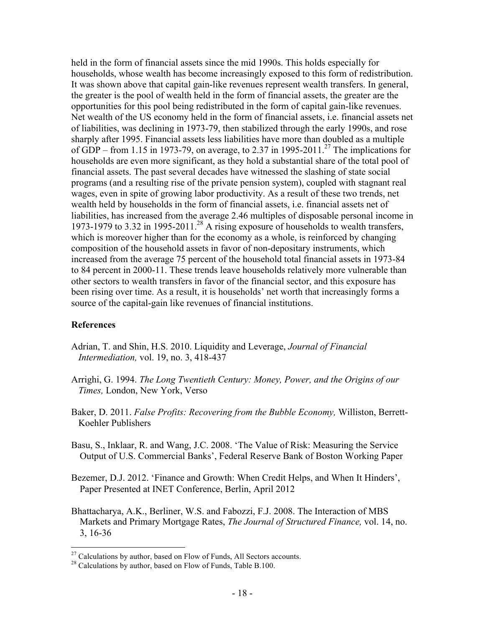held in the form of financial assets since the mid 1990s. This holds especially for households, whose wealth has become increasingly exposed to this form of redistribution. It was shown above that capital gain-like revenues represent wealth transfers. In general, the greater is the pool of wealth held in the form of financial assets, the greater are the opportunities for this pool being redistributed in the form of capital gain-like revenues. Net wealth of the US economy held in the form of financial assets, i.e. financial assets net of liabilities, was declining in 1973-79, then stabilized through the early 1990s, and rose sharply after 1995. Financial assets less liabilities have more than doubled as a multiple of GDP – from 1.15 in 1973-79, on average, to 2.37 in 1995-2011.<sup>27</sup> The implications for households are even more significant, as they hold a substantial share of the total pool of financial assets. The past several decades have witnessed the slashing of state social programs (and a resulting rise of the private pension system), coupled with stagnant real wages, even in spite of growing labor productivity. As a result of these two trends, net wealth held by households in the form of financial assets, i.e. financial assets net of liabilities, has increased from the average 2.46 multiples of disposable personal income in 1973-1979 to 3.32 in 1995-2011.<sup>28</sup> A rising exposure of households to wealth transfers, which is moreover higher than for the economy as a whole, is reinforced by changing composition of the household assets in favor of non-depositary instruments, which increased from the average 75 percent of the household total financial assets in 1973-84 to 84 percent in 2000-11. These trends leave households relatively more vulnerable than other sectors to wealth transfers in favor of the financial sector, and this exposure has been rising over time. As a result, it is households' net worth that increasingly forms a source of the capital-gain like revenues of financial institutions.

# **References**

- Adrian, T. and Shin, H.S. 2010. Liquidity and Leverage, *Journal of Financial Intermediation,* vol. 19, no. 3, 418-437
- Arrighi, G. 1994. *The Long Twentieth Century: Money, Power, and the Origins of our Times,* London, New York, Verso
- Baker, D. 2011. *False Profits: Recovering from the Bubble Economy,* Williston, Berrett-Koehler Publishers
- Basu, S., Inklaar, R. and Wang, J.C. 2008. 'The Value of Risk: Measuring the Service Output of U.S. Commercial Banks', Federal Reserve Bank of Boston Working Paper
- Bezemer, D.J. 2012. 'Finance and Growth: When Credit Helps, and When It Hinders', Paper Presented at INET Conference, Berlin, April 2012
- Bhattacharya, A.K., Berliner, W.S. and Fabozzi, F.J. 2008. The Interaction of MBS Markets and Primary Mortgage Rates, *The Journal of Structured Finance,* vol. 14, no. 3, 16-36

<sup>&</sup>lt;sup>27</sup> Calculations by author, based on Flow of Funds, All Sectors accounts.<br><sup>28</sup> Calculations by author, based on Flow of Funds, Table B.100.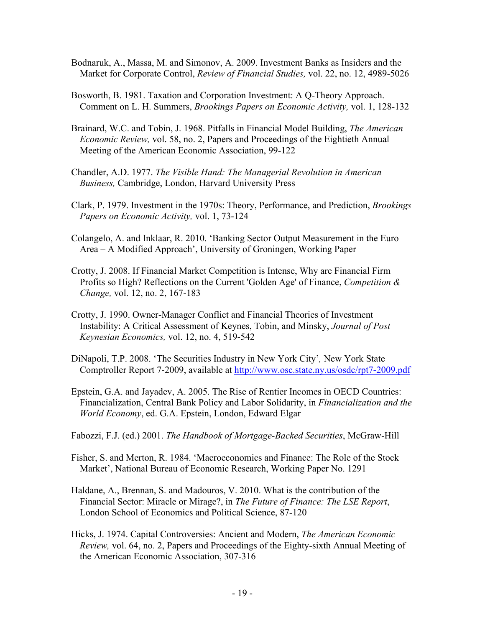- Bodnaruk, A., Massa, M. and Simonov, A. 2009. Investment Banks as Insiders and the Market for Corporate Control, *Review of Financial Studies,* vol. 22, no. 12, 4989-5026
- Bosworth, B. 1981. Taxation and Corporation Investment: A Q-Theory Approach. Comment on L. H. Summers, *Brookings Papers on Economic Activity,* vol. 1, 128-132
- Brainard, W.C. and Tobin, J. 1968. Pitfalls in Financial Model Building, *The American Economic Review,* vol. 58, no. 2, Papers and Proceedings of the Eightieth Annual Meeting of the American Economic Association, 99-122
- Chandler, A.D. 1977. *The Visible Hand: The Managerial Revolution in American Business,* Cambridge, London, Harvard University Press
- Clark, P. 1979. Investment in the 1970s: Theory, Performance, and Prediction, *Brookings Papers on Economic Activity,* vol. 1, 73-124
- Colangelo, A. and Inklaar, R. 2010. 'Banking Sector Output Measurement in the Euro Area – A Modified Approach', University of Groningen, Working Paper
- Crotty, J. 2008. If Financial Market Competition is Intense, Why are Financial Firm Profits so High? Reflections on the Current 'Golden Age' of Finance, *Competition & Change,* vol. 12, no. 2, 167-183
- Crotty, J. 1990. Owner-Manager Conflict and Financial Theories of Investment Instability: A Critical Assessment of Keynes, Tobin, and Minsky, *Journal of Post Keynesian Economics,* vol. 12, no. 4, 519-542
- DiNapoli, T.P. 2008. 'The Securities Industry in New York City'*,* New York State Comptroller Report 7-2009, available at http://www.osc.state.ny.us/osdc/rpt7-2009.pdf
- Epstein, G.A. and Jayadev, A. 2005. The Rise of Rentier Incomes in OECD Countries: Financialization, Central Bank Policy and Labor Solidarity, in *Financialization and the World Economy*, ed. G.A. Epstein, London, Edward Elgar

Fabozzi, F.J. (ed.) 2001. *The Handbook of Mortgage-Backed Securities*, McGraw-Hill

- Fisher, S. and Merton, R. 1984. 'Macroeconomics and Finance: The Role of the Stock Market', National Bureau of Economic Research, Working Paper No. 1291
- Haldane, A., Brennan, S. and Madouros, V. 2010. What is the contribution of the Financial Sector: Miracle or Mirage?, in *The Future of Finance: The LSE Report*, London School of Economics and Political Science, 87-120
- Hicks, J. 1974. Capital Controversies: Ancient and Modern, *The American Economic Review,* vol. 64, no. 2, Papers and Proceedings of the Eighty-sixth Annual Meeting of the American Economic Association, 307-316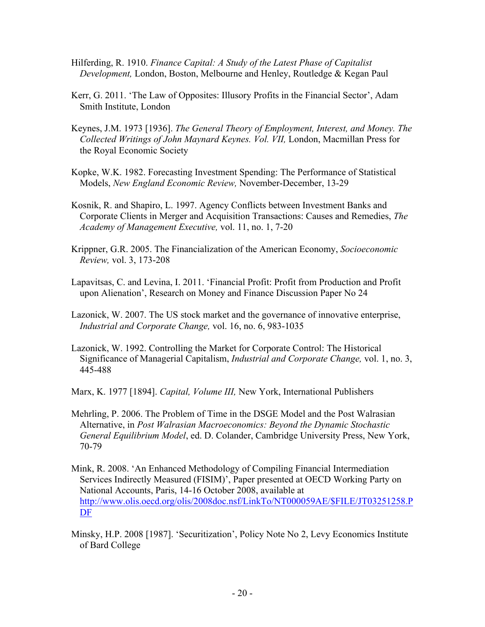- Hilferding, R. 1910. *Finance Capital: A Study of the Latest Phase of Capitalist Development,* London, Boston, Melbourne and Henley, Routledge & Kegan Paul
- Kerr, G. 2011. 'The Law of Opposites: Illusory Profits in the Financial Sector', Adam Smith Institute, London
- Keynes, J.M. 1973 [1936]. *The General Theory of Employment, Interest, and Money. The Collected Writings of John Maynard Keynes. Vol. VII,* London, Macmillan Press for the Royal Economic Society
- Kopke, W.K. 1982. Forecasting Investment Spending: The Performance of Statistical Models, *New England Economic Review,* November-December, 13-29
- Kosnik, R. and Shapiro, L. 1997. Agency Conflicts between Investment Banks and Corporate Clients in Merger and Acquisition Transactions: Causes and Remedies, *The Academy of Management Executive,* vol. 11, no. 1, 7-20
- Krippner, G.R. 2005. The Financialization of the American Economy, *Socioeconomic Review,* vol. 3, 173-208
- Lapavitsas, C. and Levina, I. 2011. 'Financial Profit: Profit from Production and Profit upon Alienation', Research on Money and Finance Discussion Paper No 24
- Lazonick, W. 2007. The US stock market and the governance of innovative enterprise, *Industrial and Corporate Change,* vol. 16, no. 6, 983-1035
- Lazonick, W. 1992. Controlling the Market for Corporate Control: The Historical Significance of Managerial Capitalism, *Industrial and Corporate Change,* vol. 1, no. 3, 445-488

Marx, K. 1977 [1894]. *Capital, Volume III,* New York, International Publishers

- Mehrling, P. 2006. The Problem of Time in the DSGE Model and the Post Walrasian Alternative, in *Post Walrasian Macroeconomics: Beyond the Dynamic Stochastic General Equilibrium Model*, ed. D. Colander, Cambridge University Press, New York, 70-79
- Mink, R. 2008. 'An Enhanced Methodology of Compiling Financial Intermediation Services Indirectly Measured (FISIM)', Paper presented at OECD Working Party on National Accounts, Paris, 14-16 October 2008, available at http://www.olis.oecd.org/olis/2008doc.nsf/LinkTo/NT000059AE/\$FILE/JT03251258.P DF
- Minsky, H.P. 2008 [1987]. 'Securitization', Policy Note No 2, Levy Economics Institute of Bard College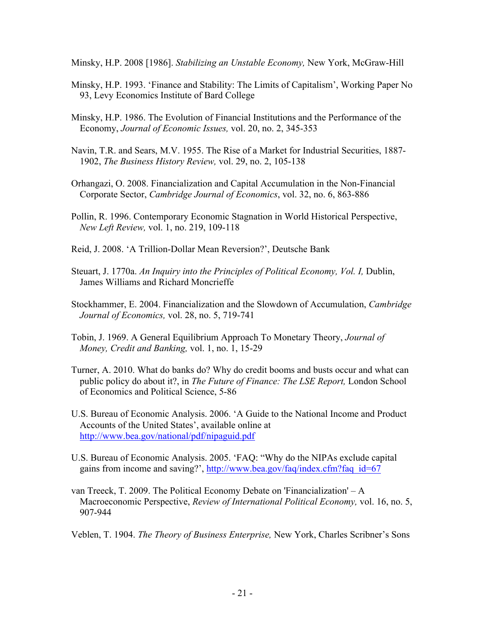Minsky, H.P. 2008 [1986]. *Stabilizing an Unstable Economy,* New York, McGraw-Hill

- Minsky, H.P. 1993. 'Finance and Stability: The Limits of Capitalism', Working Paper No 93, Levy Economics Institute of Bard College
- Minsky, H.P. 1986. The Evolution of Financial Institutions and the Performance of the Economy, *Journal of Economic Issues,* vol. 20, no. 2, 345-353
- Navin, T.R. and Sears, M.V. 1955. The Rise of a Market for Industrial Securities, 1887- 1902, *The Business History Review,* vol. 29, no. 2, 105-138
- Orhangazi, O. 2008. Financialization and Capital Accumulation in the Non-Financial Corporate Sector, *Cambridge Journal of Economics*, vol. 32, no. 6, 863-886
- Pollin, R. 1996. Contemporary Economic Stagnation in World Historical Perspective, *New Left Review,* vol. 1, no. 219, 109-118
- Reid, J. 2008. 'A Trillion-Dollar Mean Reversion?', Deutsche Bank
- Steuart, J. 1770a. An Inquiry into the Principles of Political Economy, Vol. I, Dublin, James Williams and Richard Moncrieffe
- Stockhammer, E. 2004. Financialization and the Slowdown of Accumulation, *Cambridge Journal of Economics,* vol. 28, no. 5, 719-741
- Tobin, J. 1969. A General Equilibrium Approach To Monetary Theory, *Journal of Money, Credit and Banking,* vol. 1, no. 1, 15-29
- Turner, A. 2010. What do banks do? Why do credit booms and busts occur and what can public policy do about it?, in *The Future of Finance: The LSE Report,* London School of Economics and Political Science, 5-86
- U.S. Bureau of Economic Analysis. 2006. 'A Guide to the National Income and Product Accounts of the United States', available online at http://www.bea.gov/national/pdf/nipaguid.pdf
- U.S. Bureau of Economic Analysis. 2005. 'FAQ: "Why do the NIPAs exclude capital gains from income and saving?', http://www.bea.gov/faq/index.cfm?faq\_id=67
- van Treeck, T. 2009. The Political Economy Debate on 'Financialization' A Macroeconomic Perspective, *Review of International Political Economy,* vol. 16, no. 5, 907-944

Veblen, T. 1904. *The Theory of Business Enterprise,* New York, Charles Scribner's Sons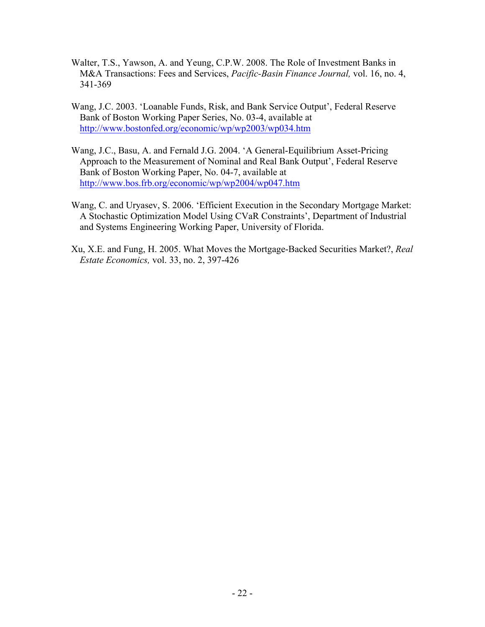- Walter, T.S., Yawson, A. and Yeung, C.P.W. 2008. The Role of Investment Banks in M&A Transactions: Fees and Services, *Pacific-Basin Finance Journal,* vol. 16, no. 4, 341-369
- Wang, J.C. 2003. 'Loanable Funds, Risk, and Bank Service Output', Federal Reserve Bank of Boston Working Paper Series, No. 03-4, available at http://www.bostonfed.org/economic/wp/wp2003/wp034.htm
- Wang, J.C., Basu, A. and Fernald J.G. 2004. 'A General-Equilibrium Asset-Pricing Approach to the Measurement of Nominal and Real Bank Output', Federal Reserve Bank of Boston Working Paper, No. 04-7, available at http://www.bos.frb.org/economic/wp/wp2004/wp047.htm
- Wang, C. and Uryasev, S. 2006. 'Efficient Execution in the Secondary Mortgage Market: A Stochastic Optimization Model Using CVaR Constraints', Department of Industrial and Systems Engineering Working Paper, University of Florida.
- Xu, X.E. and Fung, H. 2005. What Moves the Mortgage-Backed Securities Market?, *Real Estate Economics,* vol. 33, no. 2, 397-426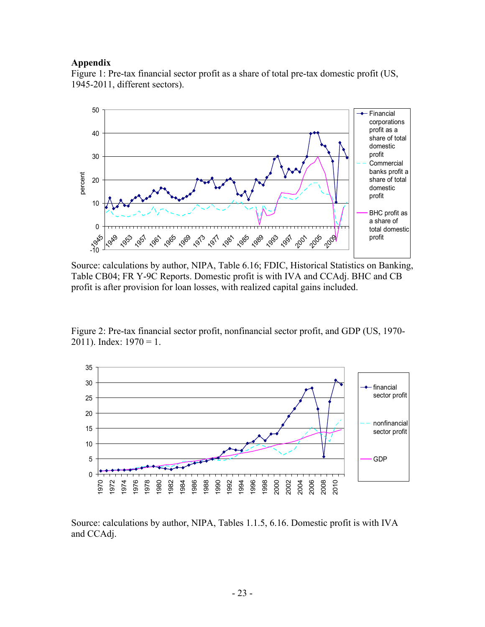#### **Appendix**

Figure 1: Pre-tax financial sector profit as a share of total pre-tax domestic profit (US, 1945-2011, different sectors).



Source: calculations by author, NIPA, Table 6.16; FDIC, Historical Statistics on Banking, Table CB04; FR Y-9C Reports. Domestic profit is with IVA and CCAdj. BHC and CB profit is after provision for loan losses, with realized capital gains included.

Figure 2: Pre-tax financial sector profit, nonfinancial sector profit, and GDP (US, 1970- 2011). Index:  $1970 = 1$ .



Source: calculations by author, NIPA, Tables 1.1.5, 6.16. Domestic profit is with IVA and CCAdj.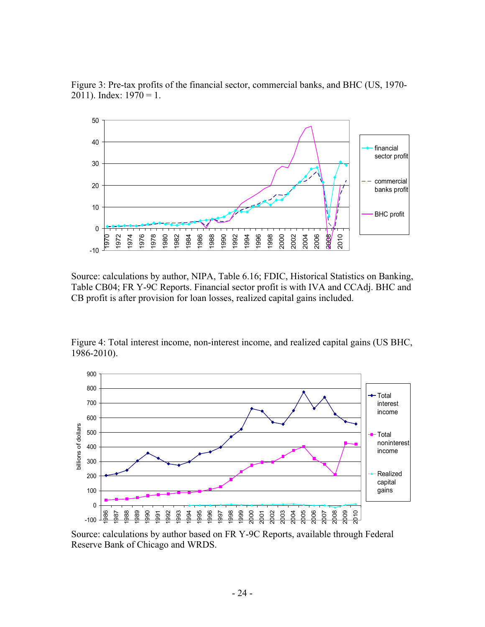

Figure 3: Pre-tax profits of the financial sector, commercial banks, and BHC (US, 1970- 2011). Index:  $1970 = 1$ .

Source: calculations by author, NIPA, Table 6.16; FDIC, Historical Statistics on Banking, Table CB04; FR Y-9C Reports. Financial sector profit is with IVA and CCAdj. BHC and CB profit is after provision for loan losses, realized capital gains included.

Figure 4: Total interest income, non-interest income, and realized capital gains (US BHC, 1986-2010).



Source: calculations by author based on FR Y-9C Reports, available through Federal Reserve Bank of Chicago and WRDS.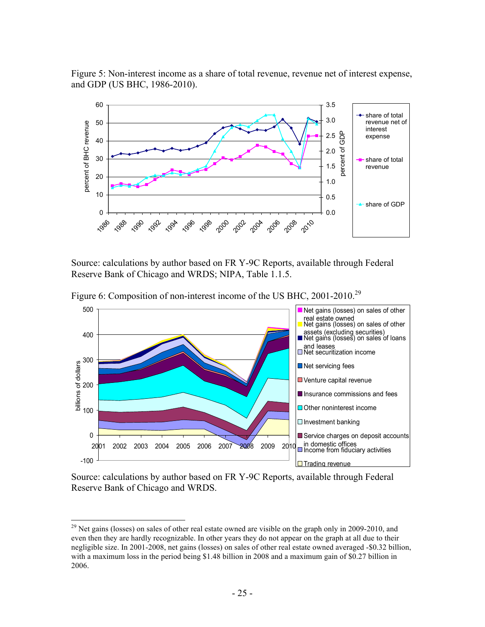

Figure 5: Non-interest income as a share of total revenue, revenue net of interest expense, and GDP (US BHC, 1986-2010).

Source: calculations by author based on FR Y-9C Reports, available through Federal Reserve Bank of Chicago and WRDS; NIPA, Table 1.1.5.



Figure 6: Composition of non-interest income of the US BHC, 2001-2010.<sup>29</sup>

Source: calculations by author based on FR Y-9C Reports, available through Federal Reserve Bank of Chicago and WRDS.

<sup>&</sup>lt;sup>29</sup> Net gains (losses) on sales of other real estate owned are visible on the graph only in 2009-2010, and even then they are hardly recognizable. In other years they do not appear on the graph at all due to their negligible size. In 2001-2008, net gains (losses) on sales of other real estate owned averaged -\$0.32 billion, with a maximum loss in the period being \$1.48 billion in 2008 and a maximum gain of \$0.27 billion in 2006.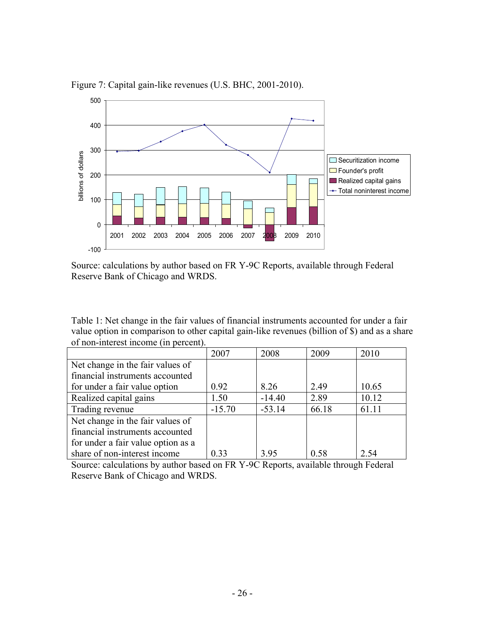

Figure 7: Capital gain-like revenues (U.S. BHC, 2001-2010).

Source: calculations by author based on FR Y-9C Reports, available through Federal Reserve Bank of Chicago and WRDS.

Table 1: Net change in the fair values of financial instruments accounted for under a fair value option in comparison to other capital gain-like revenues (billion of \$) and as a share of non-interest income (in percent).

|                                    | 2007     | 2008     | 2009  | 2010  |
|------------------------------------|----------|----------|-------|-------|
| Net change in the fair values of   |          |          |       |       |
| financial instruments accounted    |          |          |       |       |
| for under a fair value option      | 0.92     | 8.26     | 2.49  | 10.65 |
| Realized capital gains             | 1.50     | $-14.40$ | 2.89  | 10.12 |
| Trading revenue                    | $-15.70$ | $-53.14$ | 66.18 | 61.11 |
| Net change in the fair values of   |          |          |       |       |
| financial instruments accounted    |          |          |       |       |
| for under a fair value option as a |          |          |       |       |
| share of non-interest income       | 0.33     | 3.95     | 0.58  | 2.54  |

Source: calculations by author based on FR Y-9C Reports, available through Federal Reserve Bank of Chicago and WRDS.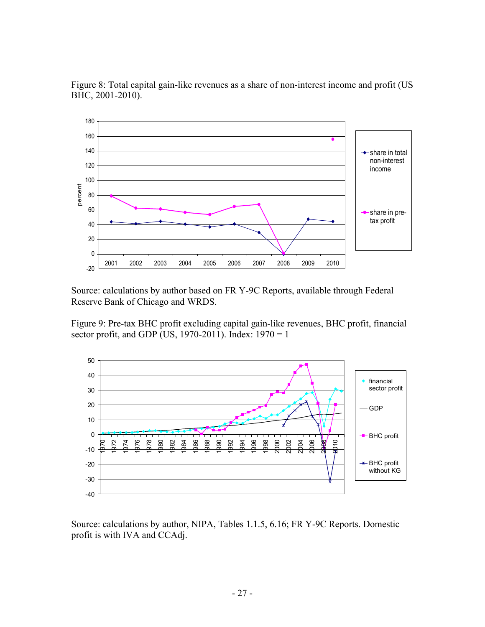

Figure 8: Total capital gain-like revenues as a share of non-interest income and profit (US BHC, 2001-2010).

Source: calculations by author based on FR Y-9C Reports, available through Federal Reserve Bank of Chicago and WRDS.

Figure 9: Pre-tax BHC profit excluding capital gain-like revenues, BHC profit, financial sector profit, and GDP (US, 1970-2011). Index:  $1970 = 1$ 



Source: calculations by author, NIPA, Tables 1.1.5, 6.16; FR Y-9C Reports. Domestic profit is with IVA and CCAdj.